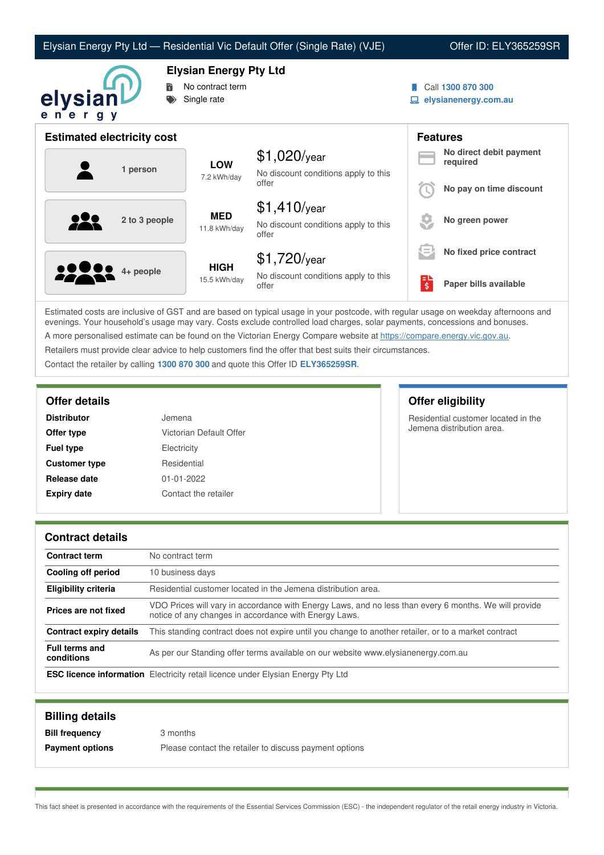| Elysian Energy Pty Ltd — Residential Vic Default Offer (Single Rate) (VJE) |  |  |  |  |
|----------------------------------------------------------------------------|--|--|--|--|
|----------------------------------------------------------------------------|--|--|--|--|

Offer ID: ELY365259SR



**Elysian Energy Pty Ltd**

- No contract term
- Single rate
- Call **1300 870 300**
- **elysianenergy.com.au**

| <b>Estimated electricity cost</b> |                             |                                                                 |     | <b>Features</b>                     |
|-----------------------------------|-----------------------------|-----------------------------------------------------------------|-----|-------------------------------------|
| 1 person                          | <b>LOW</b><br>7.2 kWh/day   | $$1,020$ /year<br>No discount conditions apply to this          |     | No direct debit payment<br>required |
|                                   |                             | offer                                                           |     | No pay on time discount             |
| <u>929</u><br>2 to 3 people       | <b>MED</b><br>11.8 kWh/day  | $$1,410$ /year<br>No discount conditions apply to this<br>offer |     | No green power                      |
|                                   |                             | $$1,720$ /year                                                  | s = | No fixed price contract             |
| <b>2220</b> 4+ people             | <b>HIGH</b><br>15.5 kWh/day | No discount conditions apply to this<br>offer                   | 팋   | Paper bills available               |

Estimated costs are inclusive of GST and are based on typical usage in your postcode, with regular usage on weekday afternoons and evenings. Your household's usage may vary. Costs exclude controlled load charges, solar payments, concessions and bonuses. A more personalised estimate can be found on the Victorian Energy Compare website at <https://compare.energy.vic.gov.au>.

Retailers must provide clear advice to help customers find the offer that best suits their circumstances.

Contact the retailer by calling **1300 870 300** and quote this Offer ID **ELY365259SR**.

| <b>Distributor</b>   | Jemena                  |
|----------------------|-------------------------|
| Offer type           | Victorian Default Offer |
| <b>Fuel type</b>     | Electricity             |
| <b>Customer type</b> | Residential             |
| Release date         | $01 - 01 - 2022$        |
| <b>Expiry date</b>   | Contact the retailer    |

**Offer details Offer eligibility**

Residential customer located in the Jemena distribution area.

## **Contract details**

| <b>Contract term</b>                | No contract term                                                                                                                                               |
|-------------------------------------|----------------------------------------------------------------------------------------------------------------------------------------------------------------|
| Cooling off period                  | 10 business days                                                                                                                                               |
| <b>Eligibility criteria</b>         | Residential customer located in the Jemena distribution area.                                                                                                  |
| Prices are not fixed                | VDO Prices will vary in accordance with Energy Laws, and no less than every 6 months. We will provide<br>notice of any changes in accordance with Energy Laws. |
| <b>Contract expiry details</b>      | This standing contract does not expire until you change to another retailer, or to a market contract                                                           |
| <b>Full terms and</b><br>conditions | As per our Standing offer terms available on our website www.elysianenergy.com.au                                                                              |
|                                     | <b>ESC licence information</b> Electricity retail licence under Elysian Energy Pty Ltd                                                                         |

| <b>Billing details</b> |                                                        |
|------------------------|--------------------------------------------------------|
| <b>Bill frequency</b>  | 3 months                                               |
| <b>Payment options</b> | Please contact the retailer to discuss payment options |